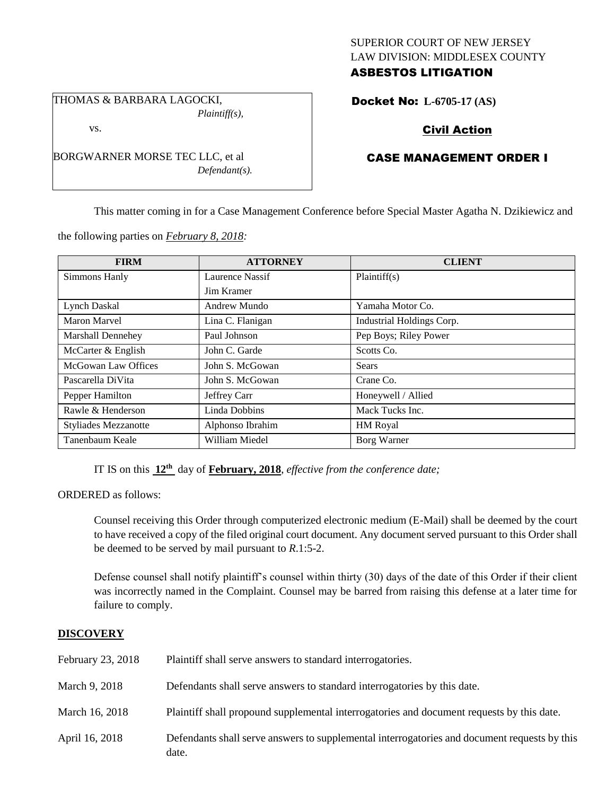## SUPERIOR COURT OF NEW JERSEY LAW DIVISION: MIDDLESEX COUNTY ASBESTOS LITIGATION

THOMAS & BARBARA LAGOCKI, *Plaintiff(s),*

BORGWARNER MORSE TEC LLC, et al

*Defendant(s).*

vs.

Docket No: **L-6705-17 (AS)** 

# Civil Action

# CASE MANAGEMENT ORDER I

This matter coming in for a Case Management Conference before Special Master Agatha N. Dzikiewicz and

the following parties on *February 8, 2018:*

| <b>FIRM</b>                 | <b>ATTORNEY</b>   | <b>CLIENT</b>             |
|-----------------------------|-------------------|---------------------------|
| Simmons Hanly               | Laurence Nassif   | Plaintiff(s)              |
|                             | <b>Jim Kramer</b> |                           |
| Lynch Daskal                | Andrew Mundo      | Yamaha Motor Co.          |
| <b>Maron Marvel</b>         | Lina C. Flanigan  | Industrial Holdings Corp. |
| <b>Marshall Dennehey</b>    | Paul Johnson      | Pep Boys; Riley Power     |
| McCarter & English          | John C. Garde     | Scotts Co.                |
| McGowan Law Offices         | John S. McGowan   | Sears                     |
| Pascarella DiVita           | John S. McGowan   | Crane Co.                 |
| Pepper Hamilton             | Jeffrey Carr      | Honeywell / Allied        |
| Rawle & Henderson           | Linda Dobbins     | Mack Tucks Inc.           |
| <b>Styliades Mezzanotte</b> | Alphonso Ibrahim  | <b>HM</b> Royal           |
| Tanenbaum Keale             | William Miedel    | Borg Warner               |

IT IS on this **12th** day of **February, 2018**, *effective from the conference date;*

ORDERED as follows:

Counsel receiving this Order through computerized electronic medium (E-Mail) shall be deemed by the court to have received a copy of the filed original court document. Any document served pursuant to this Order shall be deemed to be served by mail pursuant to *R*.1:5-2.

Defense counsel shall notify plaintiff's counsel within thirty (30) days of the date of this Order if their client was incorrectly named in the Complaint. Counsel may be barred from raising this defense at a later time for failure to comply.

## **DISCOVERY**

| February 23, 2018 | Plaintiff shall serve answers to standard interrogatories.                                            |
|-------------------|-------------------------------------------------------------------------------------------------------|
| March 9, 2018     | Defendants shall serve answers to standard interrogatories by this date.                              |
| March 16, 2018    | Plaintiff shall propound supplemental interrogatories and document requests by this date.             |
| April 16, 2018    | Defendants shall serve answers to supplemental interrogatories and document requests by this<br>date. |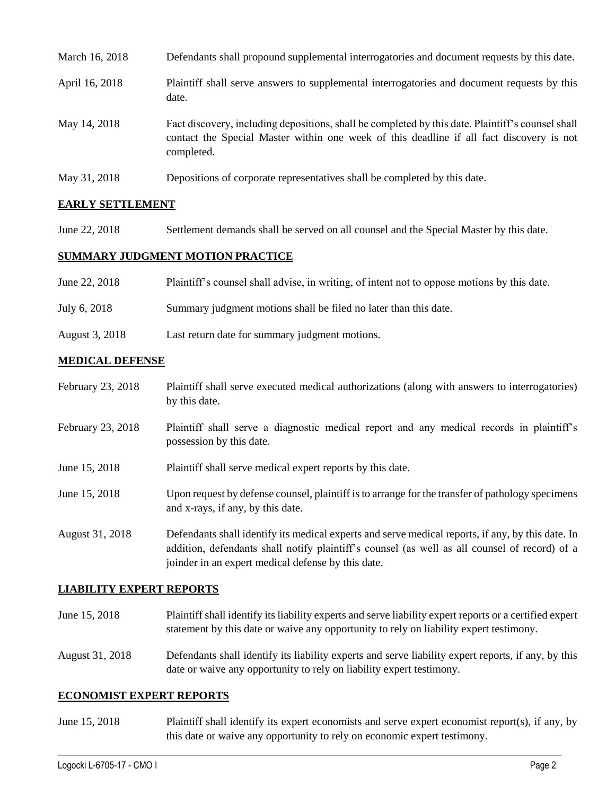| March 16, 2018 | Defendants shall propound supplemental interrogatories and document requests by this date.                                                                                                                  |
|----------------|-------------------------------------------------------------------------------------------------------------------------------------------------------------------------------------------------------------|
| April 16, 2018 | Plaintiff shall serve answers to supplemental interrogatories and document requests by this<br>date.                                                                                                        |
| May 14, 2018   | Fact discovery, including depositions, shall be completed by this date. Plaintiff's counsel shall<br>contact the Special Master within one week of this deadline if all fact discovery is not<br>completed. |
| May 31, 2018   | Depositions of corporate representatives shall be completed by this date.                                                                                                                                   |

# **EARLY SETTLEMENT**

June 22, 2018 Settlement demands shall be served on all counsel and the Special Master by this date.

# **SUMMARY JUDGMENT MOTION PRACTICE**

| June 22, 2018  | Plaintiff's counsel shall advise, in writing, of intent not to oppose motions by this date. |
|----------------|---------------------------------------------------------------------------------------------|
| July 6, 2018   | Summary judgment motions shall be filed no later than this date.                            |
| August 3, 2018 | Last return date for summary judgment motions.                                              |

### **MEDICAL DEFENSE**

- February 23, 2018 Plaintiff shall serve executed medical authorizations (along with answers to interrogatories) by this date.
- February 23, 2018 Plaintiff shall serve a diagnostic medical report and any medical records in plaintiff's possession by this date.
- June 15, 2018 Plaintiff shall serve medical expert reports by this date.
- June 15, 2018 Upon request by defense counsel, plaintiff is to arrange for the transfer of pathology specimens and x-rays, if any, by this date.
- August 31, 2018 Defendants shall identify its medical experts and serve medical reports, if any, by this date. In addition, defendants shall notify plaintiff's counsel (as well as all counsel of record) of a joinder in an expert medical defense by this date.

#### **LIABILITY EXPERT REPORTS**

- June 15, 2018 Plaintiff shall identify its liability experts and serve liability expert reports or a certified expert statement by this date or waive any opportunity to rely on liability expert testimony.
- August 31, 2018 Defendants shall identify its liability experts and serve liability expert reports, if any, by this date or waive any opportunity to rely on liability expert testimony.

#### **ECONOMIST EXPERT REPORTS**

June 15, 2018 Plaintiff shall identify its expert economists and serve expert economist report(s), if any, by this date or waive any opportunity to rely on economic expert testimony.

 $\_$  ,  $\_$  ,  $\_$  ,  $\_$  ,  $\_$  ,  $\_$  ,  $\_$  ,  $\_$  ,  $\_$  ,  $\_$  ,  $\_$  ,  $\_$  ,  $\_$  ,  $\_$  ,  $\_$  ,  $\_$  ,  $\_$  ,  $\_$  ,  $\_$  ,  $\_$  ,  $\_$  ,  $\_$  ,  $\_$  ,  $\_$  ,  $\_$  ,  $\_$  ,  $\_$  ,  $\_$  ,  $\_$  ,  $\_$  ,  $\_$  ,  $\_$  ,  $\_$  ,  $\_$  ,  $\_$  ,  $\_$  ,  $\_$  ,